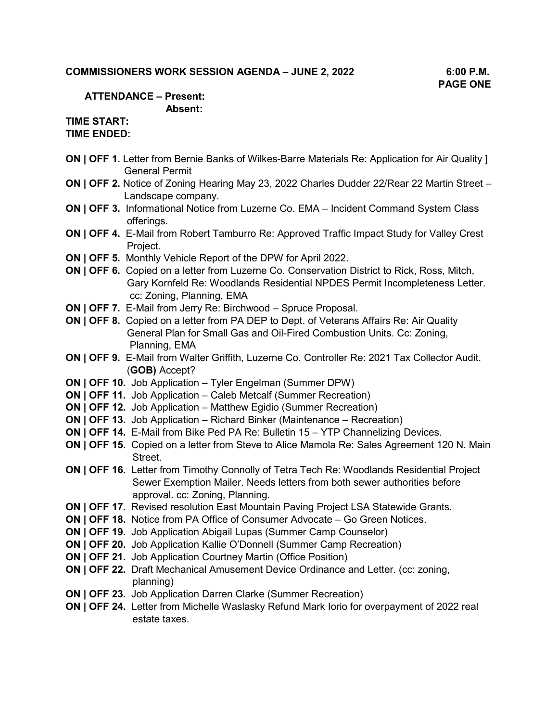## **COMMISSIONERS WORK SESSION AGENDA – JUNE 2, 2022 6:00 P.M.**

### **ATTENDANCE – Present: Absent:**

# **TIME START:**

**TIME ENDED:** 

- **ON | OFF 1.** Letter from Bernie Banks of Wilkes-Barre Materials Re: Application for Air Quality ] General Permit
- **ON | OFF 2.** Notice of Zoning Hearing May 23, 2022 Charles Dudder 22/Rear 22 Martin Street Landscape company.
- **ON | OFF 3.** Informational Notice from Luzerne Co. EMA Incident Command System Class offerings.
- **ON | OFF 4.** E-Mail from Robert Tamburro Re: Approved Traffic Impact Study for Valley Crest Project.
- **ON | OFF 5.** Monthly Vehicle Report of the DPW for April 2022.
- **ON | OFF 6.** Copied on a letter from Luzerne Co. Conservation District to Rick, Ross, Mitch, Gary Kornfeld Re: Woodlands Residential NPDES Permit Incompleteness Letter. cc: Zoning, Planning, EMA
- **ON | OFF 7.** E-Mail from Jerry Re: Birchwood Spruce Proposal.
- **ON | OFF 8.** Copied on a letter from PA DEP to Dept. of Veterans Affairs Re: Air Quality General Plan for Small Gas and Oil-Fired Combustion Units. Cc: Zoning, Planning, EMA
- **ON | OFF 9.** E-Mail from Walter Griffith, Luzerne Co. Controller Re: 2021 Tax Collector Audit. (**GOB)** Accept?
- **ON | OFF 10.** Job Application Tyler Engelman (Summer DPW)
- **ON | OFF 11.** Job Application Caleb Metcalf (Summer Recreation)
- **ON | OFF 12.** Job Application Matthew Egidio (Summer Recreation)
- **ON | OFF 13.** Job Application Richard Binker (Maintenance Recreation)
- **ON | OFF 14.** E-Mail from Bike Ped PA Re: Bulletin 15 YTP Channelizing Devices.
- **ON | OFF 15.** Copied on a letter from Steve to Alice Mamola Re: Sales Agreement 120 N. Main Street.
- **ON | OFF 16.** Letter from Timothy Connolly of Tetra Tech Re: Woodlands Residential Project Sewer Exemption Mailer. Needs letters from both sewer authorities before approval. cc: Zoning, Planning.
- **ON | OFF 17.** Revised resolution East Mountain Paving Project LSA Statewide Grants.
- **ON | OFF 18.** Notice from PA Office of Consumer Advocate Go Green Notices.
- **ON | OFF 19.** Job Application Abigail Lupas (Summer Camp Counselor)
- **ON | OFF 20.** Job Application Kallie O'Donnell (Summer Camp Recreation)
- **ON | OFF 21.** Job Application Courtney Martin (Office Position)
- **ON | OFF 22.** Draft Mechanical Amusement Device Ordinance and Letter. (cc: zoning, planning)
- **ON | OFF 23.** Job Application Darren Clarke (Summer Recreation)
- **ON | OFF 24.** Letter from Michelle Waslasky Refund Mark Iorio for overpayment of 2022 real estate taxes.